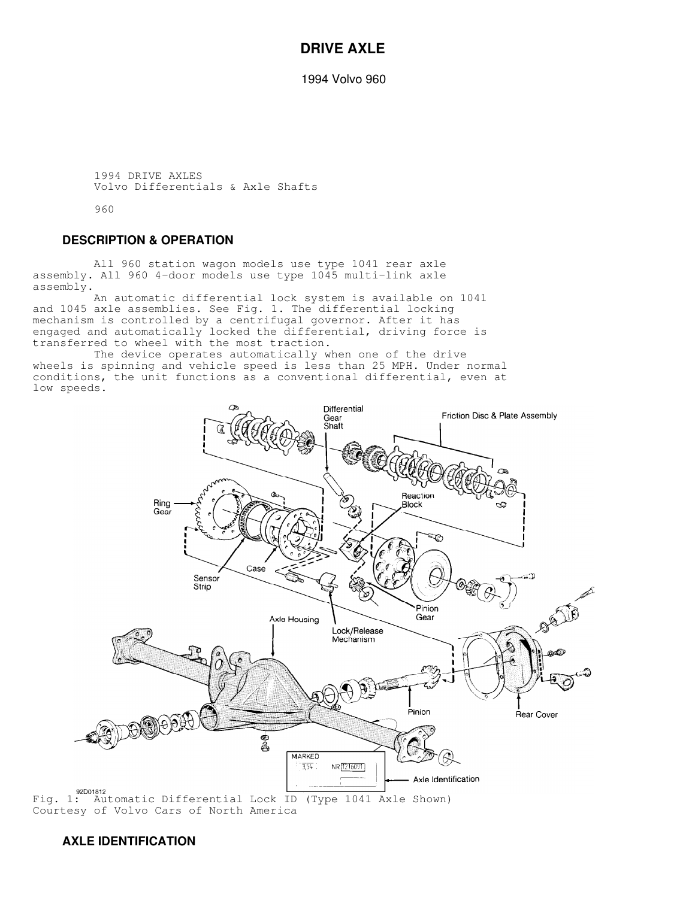### **DRIVE AXLE**

1994 Volvo 960

 1994 DRIVE AXLES Volvo Differentials & Axle Shafts

960

#### **DESCRIPTION & OPERATION**

 All 960 station wagon models use type 1041 rear axle assembly. All 960 4-door models use type 1045 multi-link axle assembly.

 An automatic differential lock system is available on 1041 and 1045 axle assemblies. See Fig. 1. The differential locking mechanism is controlled by a centrifugal governor. After it has engaged and automatically locked the differential, driving force is transferred to wheel with the most traction.

 The device operates automatically when one of the drive wheels is spinning and vehicle speed is less than 25 MPH. Under normal conditions, the unit functions as a conventional differential, even at low speeds.



Courtesy of Volvo Cars of North America

### **AXLE IDENTIFICATION**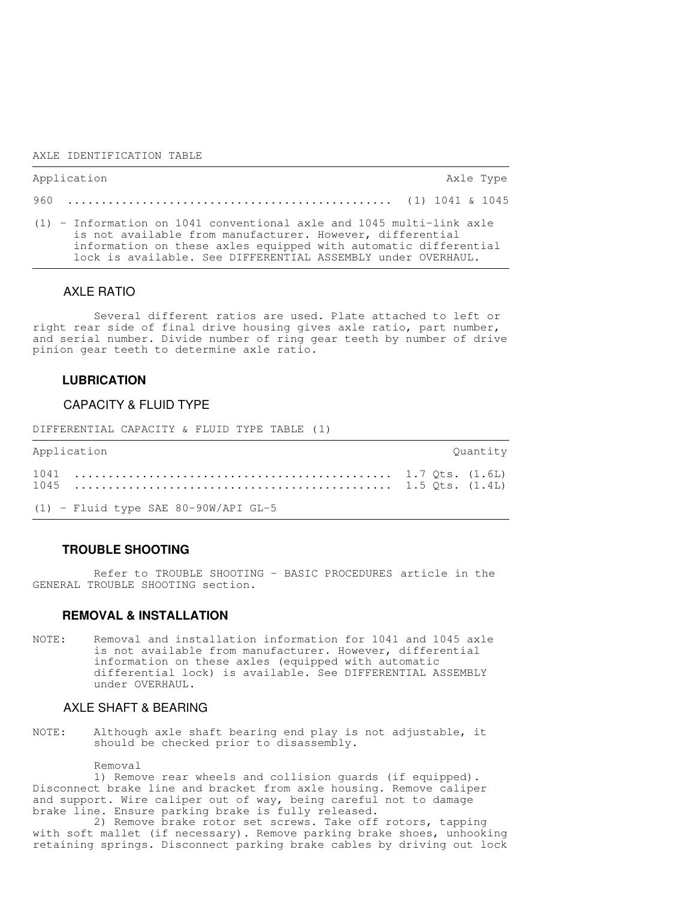#### AXLE IDENTIFICATION TABLE

| Application                                                                                                                                                                                                                                                            | Axle Type |  |
|------------------------------------------------------------------------------------------------------------------------------------------------------------------------------------------------------------------------------------------------------------------------|-----------|--|
|                                                                                                                                                                                                                                                                        |           |  |
| $(1)$ - Information on 1041 conventional axle and 1045 multi-link axle<br>is not available from manufacturer. However, differential<br>information on these axles equipped with automatic differential<br>lock is available. See DIFFERENTIAL ASSEMBLY under OVERHAUL. |           |  |

#### AXLE RATIO

 Several different ratios are used. Plate attached to left or right rear side of final drive housing gives axle ratio, part number, and serial number. Divide number of ring gear teeth by number of drive pinion gear teeth to determine axle ratio.

#### **LUBRICATION**

#### CAPACITY & FLUID TYPE

DIFFERENTIAL CAPACITY & FLUID TYPE TABLE (1)

| Application                          | Ouantity |
|--------------------------------------|----------|
|                                      |          |
| (1) - Fluid type SAE 80-90W/API GL-5 |          |

#### **TROUBLE SHOOTING**

 Refer to TROUBLE SHOOTING - BASIC PROCEDURES article in the GENERAL TROUBLE SHOOTING section.

#### **REMOVAL & INSTALLATION**

NOTE: Removal and installation information for 1041 and 1045 axle is not available from manufacturer. However, differential information on these axles (equipped with automatic differential lock) is available. See DIFFERENTIAL ASSEMBLY under OVERHAUL.

#### AXLE SHAFT & BEARING

NOTE: Although axle shaft bearing end play is not adjustable, it should be checked prior to disassembly.

Removal

 1) Remove rear wheels and collision guards (if equipped). Disconnect brake line and bracket from axle housing. Remove caliper and support. Wire caliper out of way, being careful not to damage brake line. Ensure parking brake is fully released.

 2) Remove brake rotor set screws. Take off rotors, tapping with soft mallet (if necessary). Remove parking brake shoes, unhooking retaining springs. Disconnect parking brake cables by driving out lock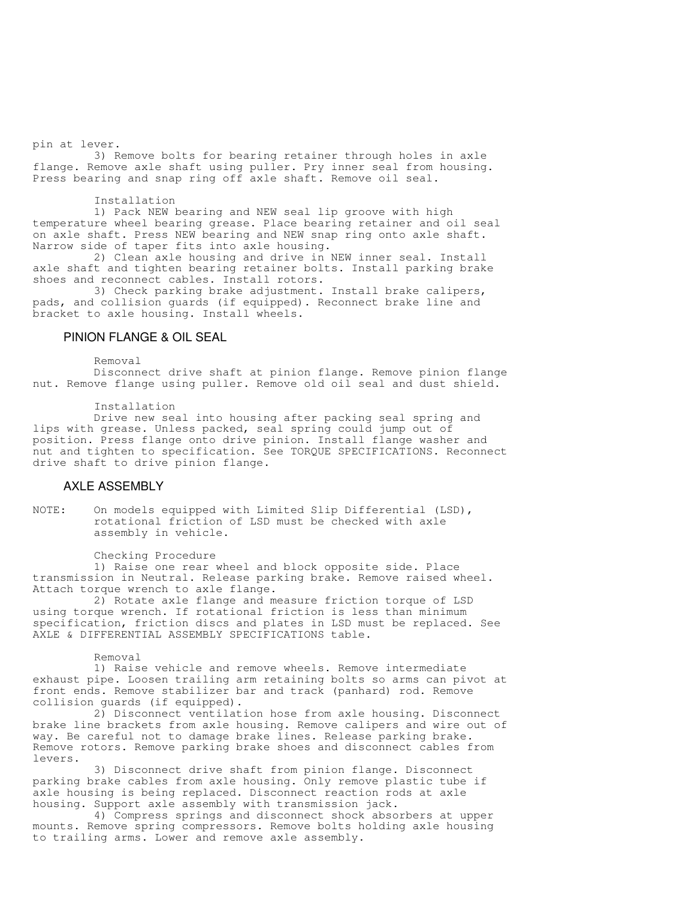pin at lever.

 3) Remove bolts for bearing retainer through holes in axle flange. Remove axle shaft using puller. Pry inner seal from housing. Press bearing and snap ring off axle shaft. Remove oil seal.

#### Installation

 1) Pack NEW bearing and NEW seal lip groove with high temperature wheel bearing grease. Place bearing retainer and oil seal on axle shaft. Press NEW bearing and NEW snap ring onto axle shaft. Narrow side of taper fits into axle housing.

 2) Clean axle housing and drive in NEW inner seal. Install axle shaft and tighten bearing retainer bolts. Install parking brake shoes and reconnect cables. Install rotors.

 3) Check parking brake adjustment. Install brake calipers, pads, and collision guards (if equipped). Reconnect brake line and bracket to axle housing. Install wheels.

#### PINION FLANGE & OIL SEAL

Removal

 Disconnect drive shaft at pinion flange. Remove pinion flange nut. Remove flange using puller. Remove old oil seal and dust shield.

Installation

 Drive new seal into housing after packing seal spring and lips with grease. Unless packed, seal spring could jump out of position. Press flange onto drive pinion. Install flange washer and nut and tighten to specification. See TORQUE SPECIFICATIONS. Reconnect drive shaft to drive pinion flange.

### AXLE ASSEMBLY

NOTE: On models equipped with Limited Slip Differential (LSD), rotational friction of LSD must be checked with axle assembly in vehicle.

Checking Procedure

 1) Raise one rear wheel and block opposite side. Place transmission in Neutral. Release parking brake. Remove raised wheel. Attach torque wrench to axle flange.

 2) Rotate axle flange and measure friction torque of LSD using torque wrench. If rotational friction is less than minimum specification, friction discs and plates in LSD must be replaced. See AXLE & DIFFERENTIAL ASSEMBLY SPECIFICATIONS table.

Removal

 1) Raise vehicle and remove wheels. Remove intermediate exhaust pipe. Loosen trailing arm retaining bolts so arms can pivot at front ends. Remove stabilizer bar and track (panhard) rod. Remove collision guards (if equipped).

 2) Disconnect ventilation hose from axle housing. Disconnect brake line brackets from axle housing. Remove calipers and wire out of way. Be careful not to damage brake lines. Release parking brake. Remove rotors. Remove parking brake shoes and disconnect cables from levers.

 3) Disconnect drive shaft from pinion flange. Disconnect parking brake cables from axle housing. Only remove plastic tube if axle housing is being replaced. Disconnect reaction rods at axle housing. Support axle assembly with transmission jack.

 4) Compress springs and disconnect shock absorbers at upper mounts. Remove spring compressors. Remove bolts holding axle housing to trailing arms. Lower and remove axle assembly.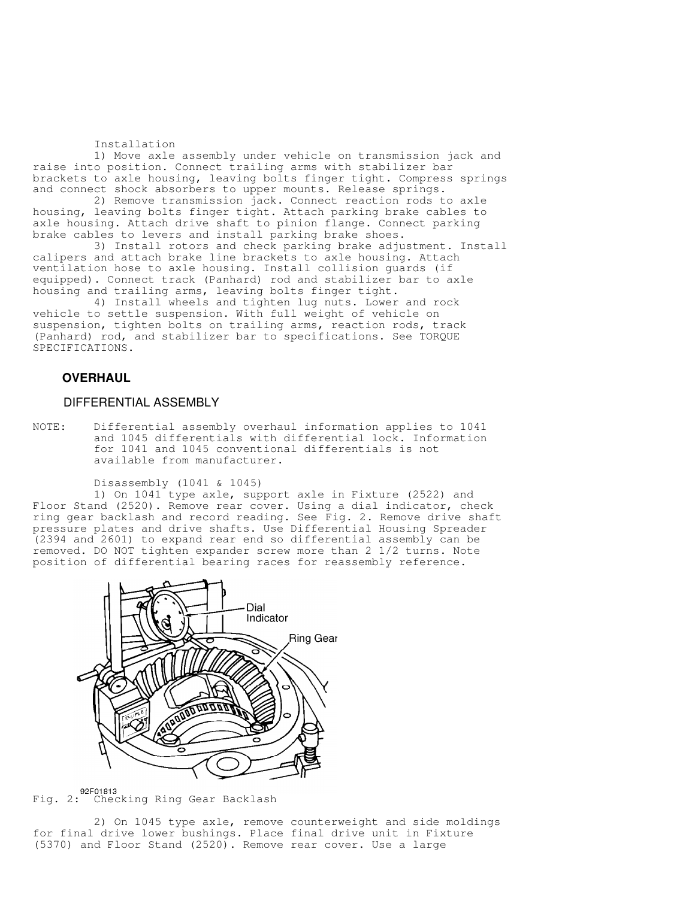Installation

 1) Move axle assembly under vehicle on transmission jack and raise into position. Connect trailing arms with stabilizer bar brackets to axle housing, leaving bolts finger tight. Compress springs and connect shock absorbers to upper mounts. Release springs.

 2) Remove transmission jack. Connect reaction rods to axle housing, leaving bolts finger tight. Attach parking brake cables to axle housing. Attach drive shaft to pinion flange. Connect parking brake cables to levers and install parking brake shoes.

 3) Install rotors and check parking brake adjustment. Install calipers and attach brake line brackets to axle housing. Attach ventilation hose to axle housing. Install collision guards (if equipped). Connect track (Panhard) rod and stabilizer bar to axle housing and trailing arms, leaving bolts finger tight.

 4) Install wheels and tighten lug nuts. Lower and rock vehicle to settle suspension. With full weight of vehicle on suspension, tighten bolts on trailing arms, reaction rods, track (Panhard) rod, and stabilizer bar to specifications. See TORQUE SPECIFICATIONS.

#### **OVERHAUL**

#### DIFFERENTIAL ASSEMBLY

NOTE: Differential assembly overhaul information applies to 1041 and 1045 differentials with differential lock. Information for 1041 and 1045 conventional differentials is not available from manufacturer.

Disassembly (1041 & 1045)

 1) On 1041 type axle, support axle in Fixture (2522) and Floor Stand (2520). Remove rear cover. Using a dial indicator, check ring gear backlash and record reading. See Fig. 2. Remove drive shaft pressure plates and drive shafts. Use Differential Housing Spreader (2394 and 2601) to expand rear end so differential assembly can be removed. DO NOT tighten expander screw more than 2 1/2 turns. Note position of differential bearing races for reassembly reference.



92F01813<br>Fig. 2: Checking Ring Gear Backlash

 2) On 1045 type axle, remove counterweight and side moldings for final drive lower bushings. Place final drive unit in Fixture (5370) and Floor Stand (2520). Remove rear cover. Use a large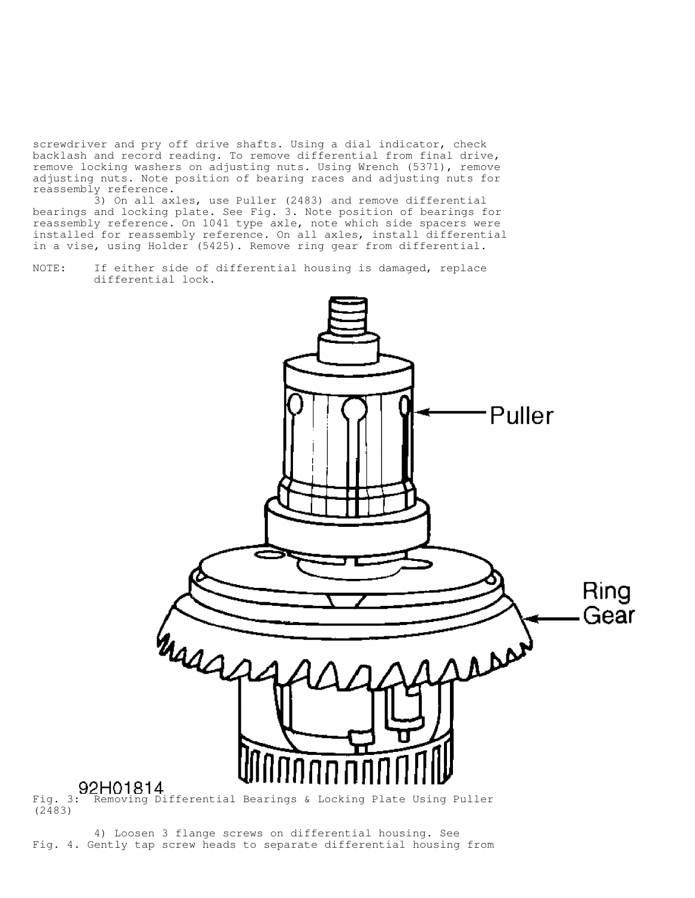screwdriver and pry off drive shafts. Using a dial indicator, check backlash and record reading. To remove differential from final drive, remove locking washers on adjusting nuts. Using Wrench (5371), remove adjusting nuts. Note position of bearing races and adjusting nuts for reassembly reference.

 3) On all axles, use Puller (2483) and remove differential bearings and locking plate. See Fig. 3. Note position of bearings for reassembly reference. On 1041 type axle, note which side spacers were installed for reassembly reference. On all axles, install differential in a vise, using Holder (5425). Remove ring gear from differential.

NOTE: If either side of differential housing is damaged, replace differential lock.



(2483)

 4) Loosen 3 flange screws on differential housing. See Fig. 4. Gently tap screw heads to separate differential housing from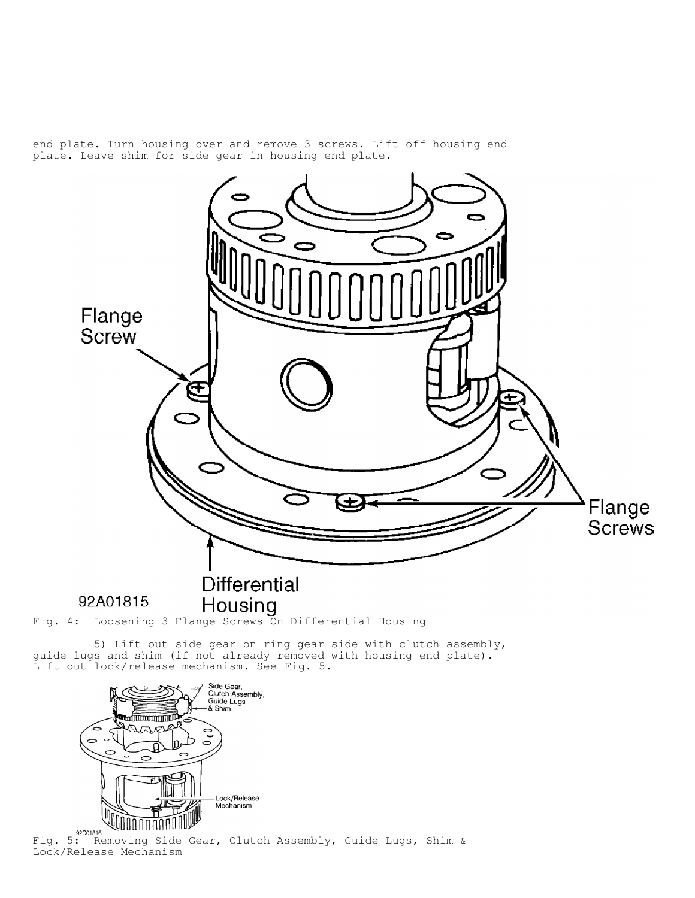end plate. Turn housing over and remove 3 screws. Lift off housing end plate. Leave shim for side gear in housing end plate.



guide lugs and shim (if not already removed with housing end plate). Lift out lock/release mechanism. See Fig. 5.



Lock/Release Mechanism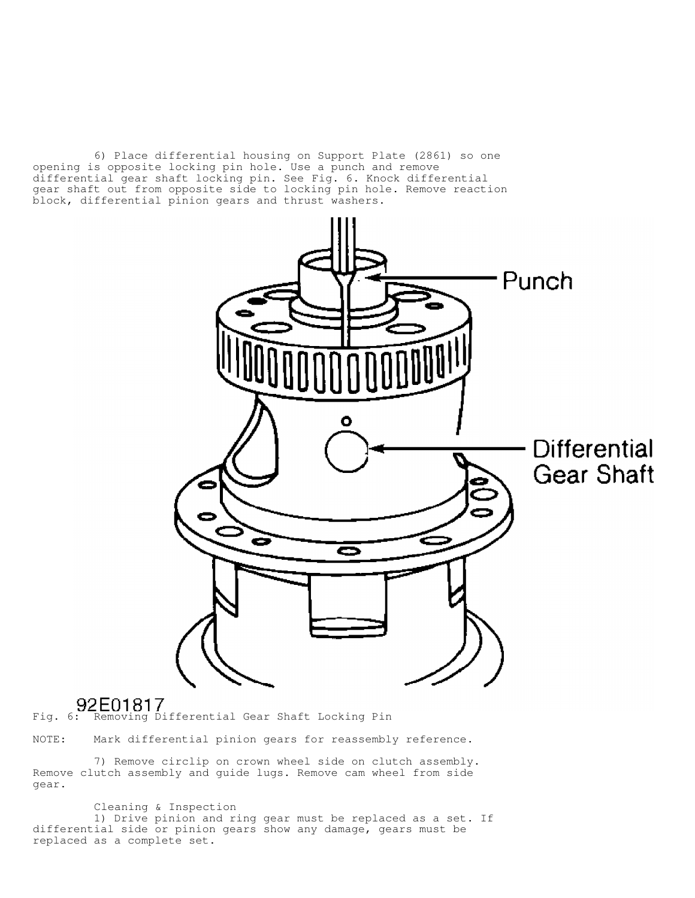6) Place differential housing on Support Plate (2861) so one opening is opposite locking pin hole. Use a punch and remove differential gear shaft locking pin. See Fig. 6. Knock differential gear shaft out from opposite side to locking pin hole. Remove reaction block, differential pinion gears and thrust washers.



# Fig. 6: Removing Differential Gear Shaft Locking Pin

NOTE: Mark differential pinion gears for reassembly reference.

 7) Remove circlip on crown wheel side on clutch assembly. Remove clutch assembly and guide lugs. Remove cam wheel from side gear.

 Cleaning & Inspection 1) Drive pinion and ring gear must be replaced as a set. If differential side or pinion gears show any damage, gears must be replaced as a complete set.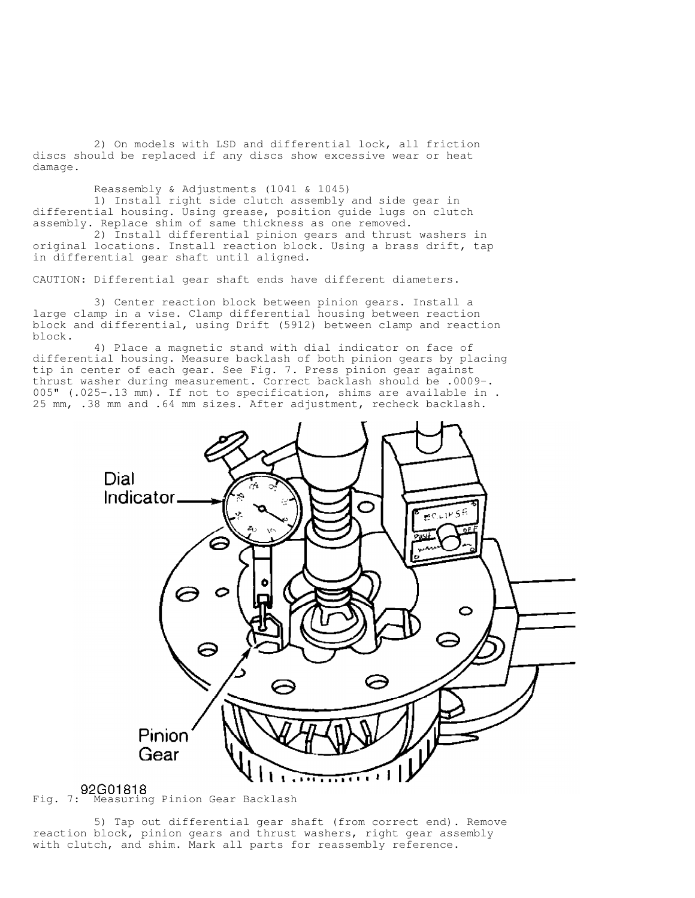2) On models with LSD and differential lock, all friction discs should be replaced if any discs show excessive wear or heat damage.

Reassembly & Adjustments (1041 & 1045)

 1) Install right side clutch assembly and side gear in differential housing. Using grease, position guide lugs on clutch assembly. Replace shim of same thickness as one removed.

 2) Install differential pinion gears and thrust washers in original locations. Install reaction block. Using a brass drift, tap in differential gear shaft until aligned.

CAUTION: Differential gear shaft ends have different diameters.

 3) Center reaction block between pinion gears. Install a large clamp in a vise. Clamp differential housing between reaction block and differential, using Drift (5912) between clamp and reaction block.

 4) Place a magnetic stand with dial indicator on face of differential housing. Measure backlash of both pinion gears by placing tip in center of each gear. See Fig. 7. Press pinion gear against thrust washer during measurement. Correct backlash should be .0009-. 005" (.025-.13 mm). If not to specification, shims are available in . 25 mm, .38 mm and .64 mm sizes. After adjustment, recheck backlash.



 5) Tap out differential gear shaft (from correct end). Remove reaction block, pinion gears and thrust washers, right gear assembly with clutch, and shim. Mark all parts for reassembly reference.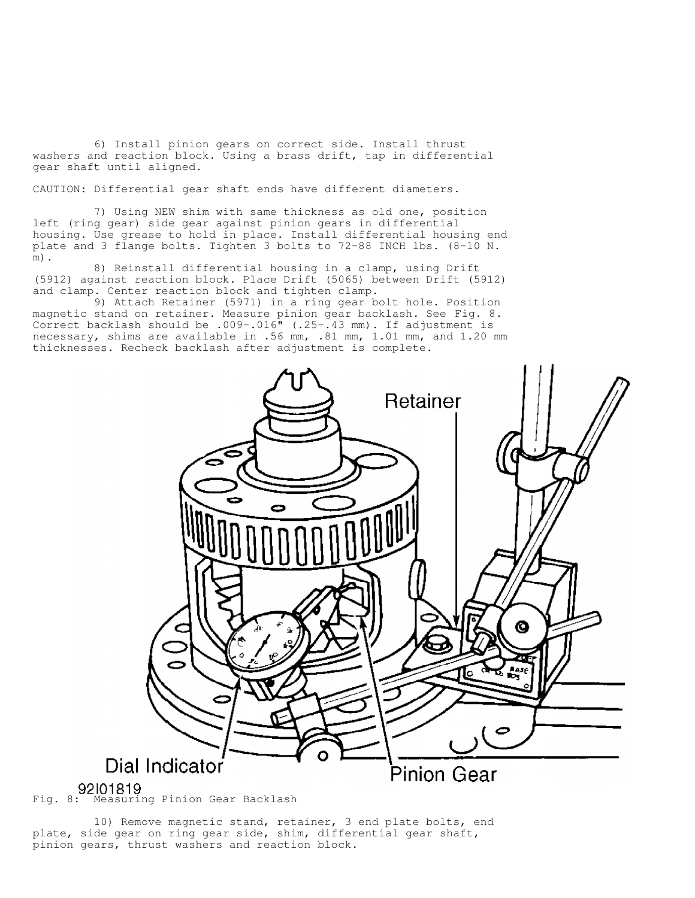6) Install pinion gears on correct side. Install thrust washers and reaction block. Using a brass drift, tap in differential gear shaft until aligned.

CAUTION: Differential gear shaft ends have different diameters.

 7) Using NEW shim with same thickness as old one, position left (ring gear) side gear against pinion gears in differential housing. Use grease to hold in place. Install differential housing end plate and 3 flange bolts. Tighten 3 bolts to 72-88 INCH lbs. (8-10 N. m).

 8) Reinstall differential housing in a clamp, using Drift (5912) against reaction block. Place Drift (5065) between Drift (5912) and clamp. Center reaction block and tighten clamp.

 9) Attach Retainer (5971) in a ring gear bolt hole. Position magnetic stand on retainer. Measure pinion gear backlash. See Fig. 8. Correct backlash should be .009-.016" (.25-.43 mm). If adjustment is necessary, shims are available in .56 mm, .81 mm, 1.01 mm, and 1.20 mm thicknesses. Recheck backlash after adjustment is complete.



 10) Remove magnetic stand, retainer, 3 end plate bolts, end plate, side gear on ring gear side, shim, differential gear shaft, pinion gears, thrust washers and reaction block.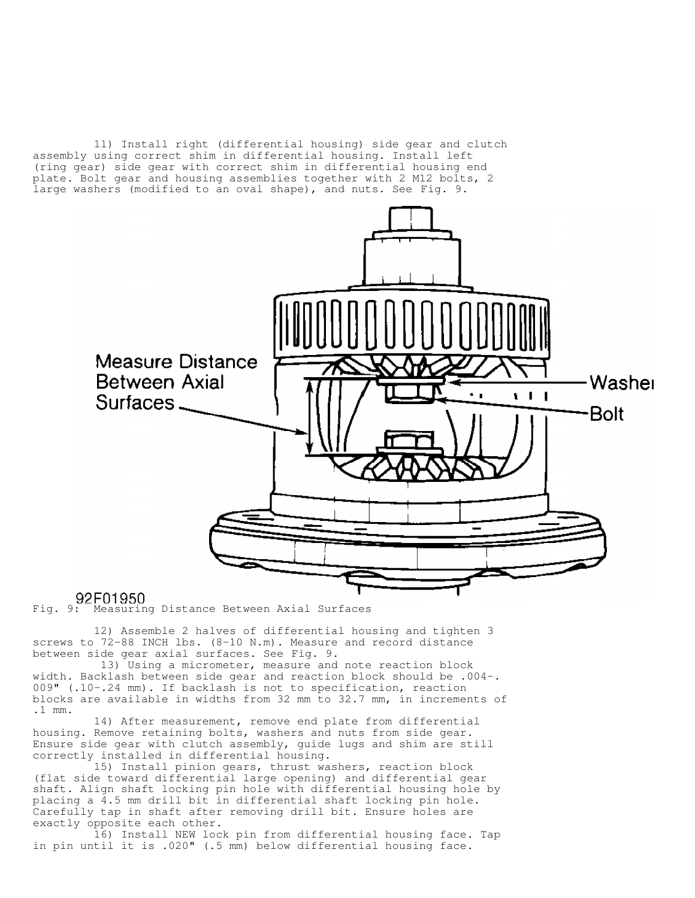11) Install right (differential housing) side gear and clutch assembly using correct shim in differential housing. Install left (ring gear) side gear with correct shim in differential housing end plate. Bolt gear and housing assemblies together with 2 M12 bolts, 2 large washers (modified to an oval shape), and nuts. See Fig. 9.



92F01950<br>Fig. 9: Measuring Distance Between Axial Surfaces

 12) Assemble 2 halves of differential housing and tighten 3 screws to 72-88 INCH lbs. (8-10 N.m). Measure and record distance between side gear axial surfaces. See Fig. 9.

 13) Using a micrometer, measure and note reaction block width. Backlash between side gear and reaction block should be .004-. 009" (.10-.24 mm). If backlash is not to specification, reaction blocks are available in widths from 32 mm to 32.7 mm, in increments of .1 mm.

 14) After measurement, remove end plate from differential housing. Remove retaining bolts, washers and nuts from side gear. Ensure side gear with clutch assembly, guide lugs and shim are still correctly installed in differential housing.

 15) Install pinion gears, thrust washers, reaction block (flat side toward differential large opening) and differential gear shaft. Align shaft locking pin hole with differential housing hole by placing a 4.5 mm drill bit in differential shaft locking pin hole. Carefully tap in shaft after removing drill bit. Ensure holes are exactly opposite each other.

 16) Install NEW lock pin from differential housing face. Tap in pin until it is .020" (.5 mm) below differential housing face.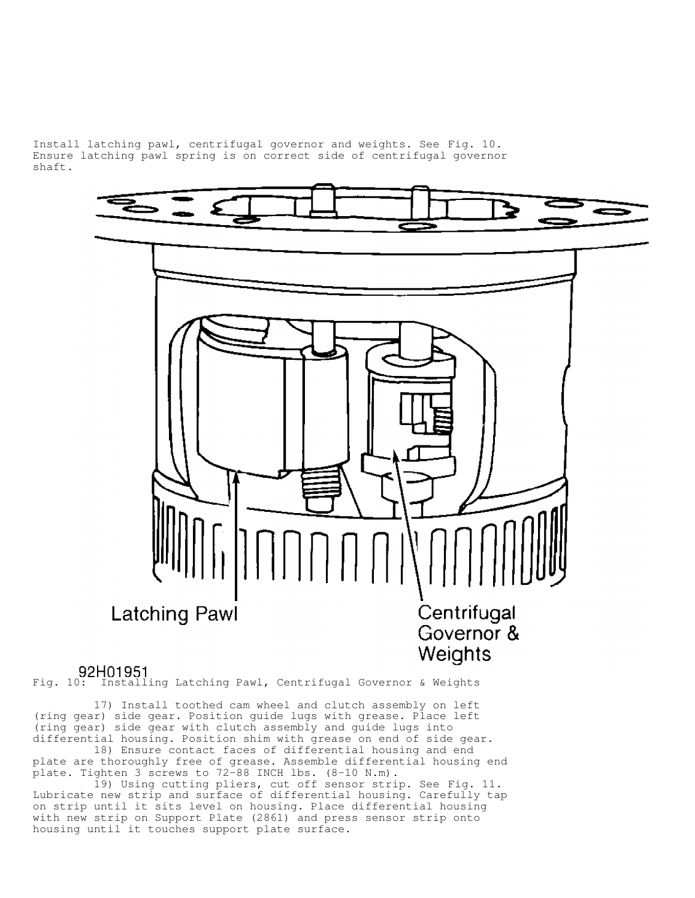Install latching pawl, centrifugal governor and weights. See Fig. 10. Ensure latching pawl spring is on correct side of centrifugal governor shaft.



Fig. 10: Installing Latching Pawl, Centrifugal Governor & Weights

 17) Install toothed cam wheel and clutch assembly on left (ring gear) side gear. Position guide lugs with grease. Place left (ring gear) side gear with clutch assembly and guide lugs into differential housing. Position shim with grease on end of side gear.

 18) Ensure contact faces of differential housing and end plate are thoroughly free of grease. Assemble differential housing end plate. Tighten 3 screws to 72-88 INCH lbs. (8-10 N.m).

 19) Using cutting pliers, cut off sensor strip. See Fig. 11. Lubricate new strip and surface of differential housing. Carefully tap on strip until it sits level on housing. Place differential housing with new strip on Support Plate (2861) and press sensor strip onto housing until it touches support plate surface.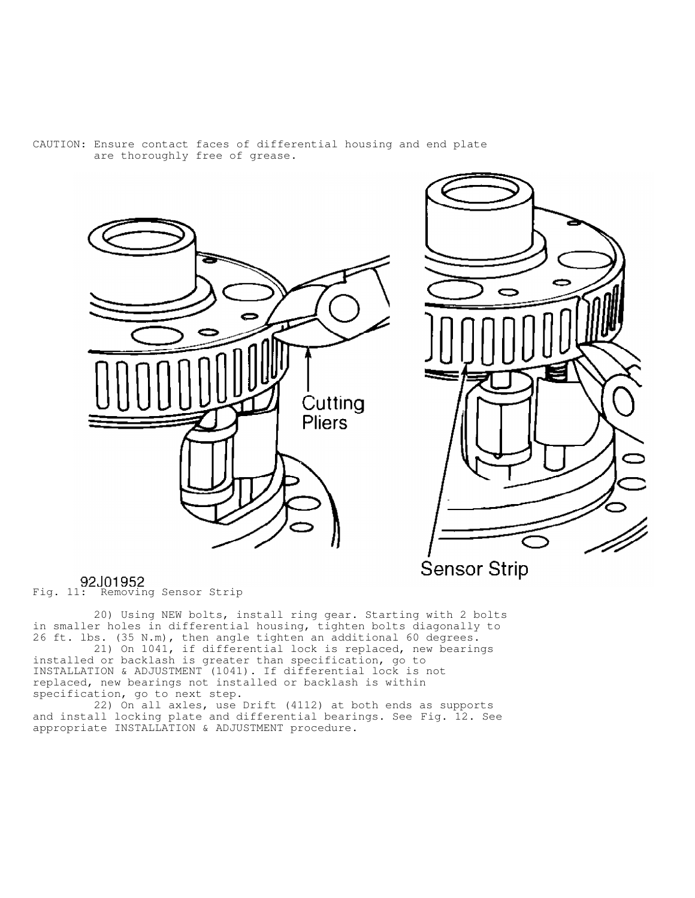

#### CAUTION: Ensure contact faces of differential housing and end plate are thoroughly free of grease.



92J01952<br>Fig. 11: Removing Sensor Strip

 20) Using NEW bolts, install ring gear. Starting with 2 bolts in smaller holes in differential housing, tighten bolts diagonally to 26 ft. lbs. (35 N.m), then angle tighten an additional 60 degrees. 21) On 1041, if differential lock is replaced, new bearings

installed or backlash is greater than specification, go to INSTALLATION & ADJUSTMENT (1041). If differential lock is not replaced, new bearings not installed or backlash is within specification, go to next step.

 22) On all axles, use Drift (4112) at both ends as supports and install locking plate and differential bearings. See Fig. 12. See appropriate INSTALLATION & ADJUSTMENT procedure.

**Sensor Strip**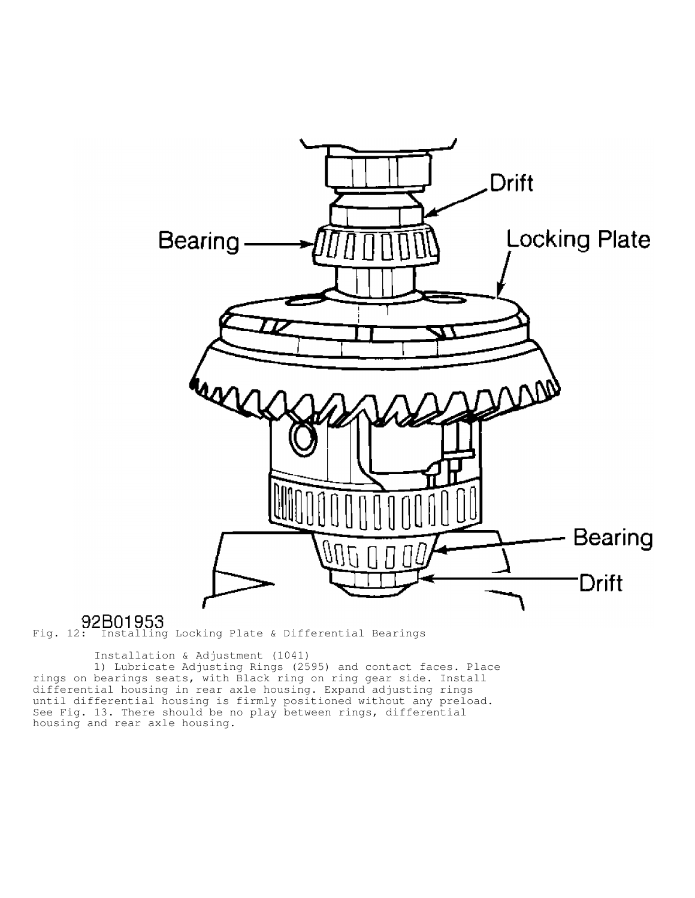

Fig. 12: Installing Locking Plate & Differential Bearings

Installation & Adjustment (1041)

 1) Lubricate Adjusting Rings (2595) and contact faces. Place rings on bearings seats, with Black ring on ring gear side. Install differential housing in rear axle housing. Expand adjusting rings until differential housing is firmly positioned without any preload. See Fig. 13. There should be no play between rings, differential housing and rear axle housing.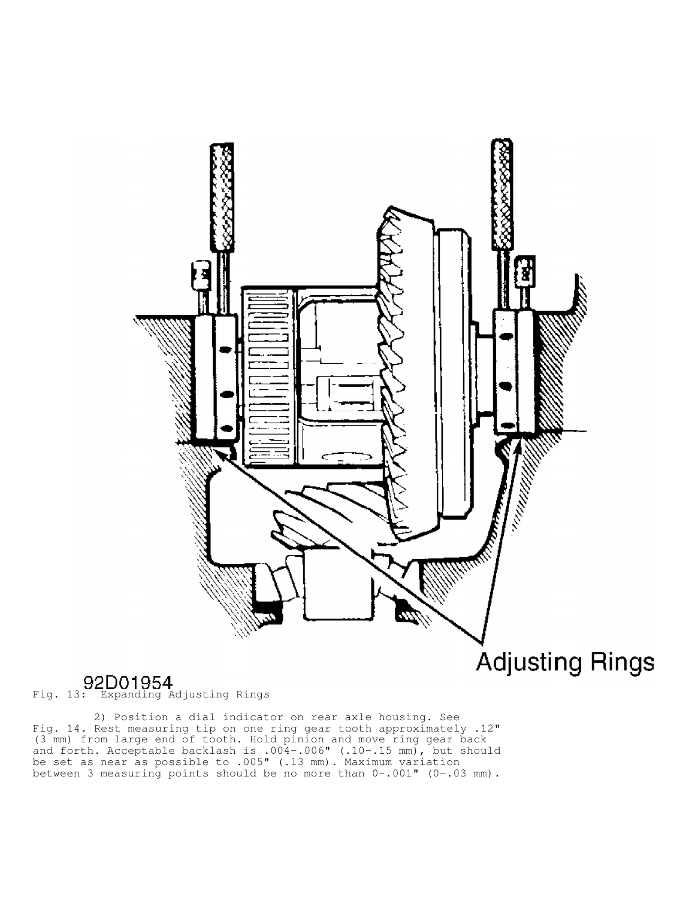

Fig. 13: Expanding Adjusting Rings

 2) Position a dial indicator on rear axle housing. See Fig. 14. Rest measuring tip on one ring gear tooth approximately .12" (3 mm) from large end of tooth. Hold pinion and move ring gear back and forth. Acceptable backlash is .004-.006" (.10-.15 mm), but should be set as near as possible to .005" (.13 mm). Maximum variation between 3 measuring points should be no more than 0-.001" (0-.03 mm).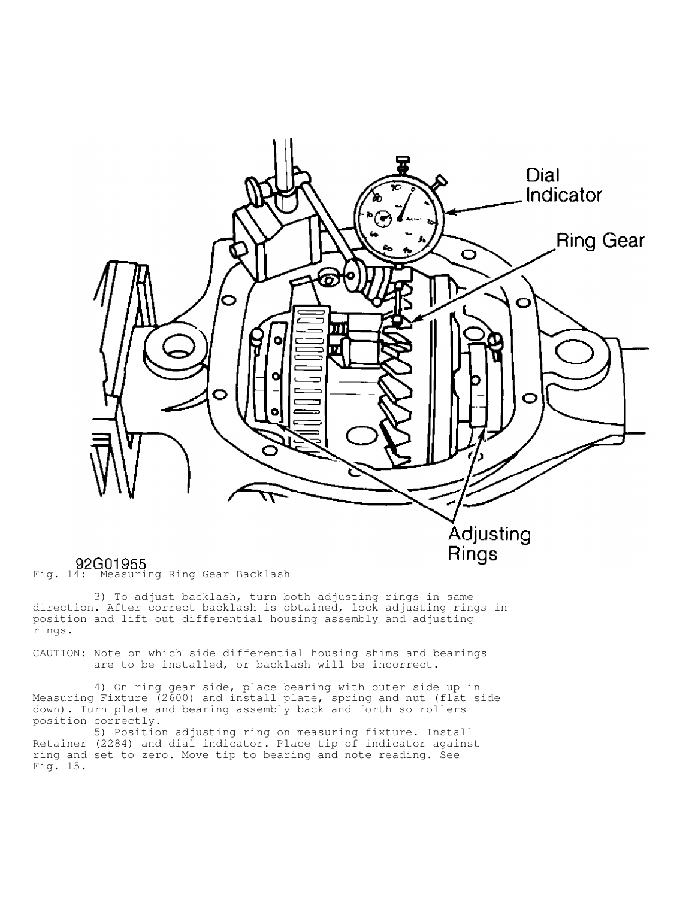

## 92G01955<br>Fig. 14: Measuring Ring Gear Backlash

 3) To adjust backlash, turn both adjusting rings in same direction. After correct backlash is obtained, lock adjusting rings in position and lift out differential housing assembly and adjusting rings.

CAUTION: Note on which side differential housing shims and bearings are to be installed, or backlash will be incorrect.

 4) On ring gear side, place bearing with outer side up in Measuring Fixture (2600) and install plate, spring and nut (flat side down). Turn plate and bearing assembly back and forth so rollers position correctly.

 5) Position adjusting ring on measuring fixture. Install Retainer (2284) and dial indicator. Place tip of indicator against ring and set to zero. Move tip to bearing and note reading. See Fig. 15.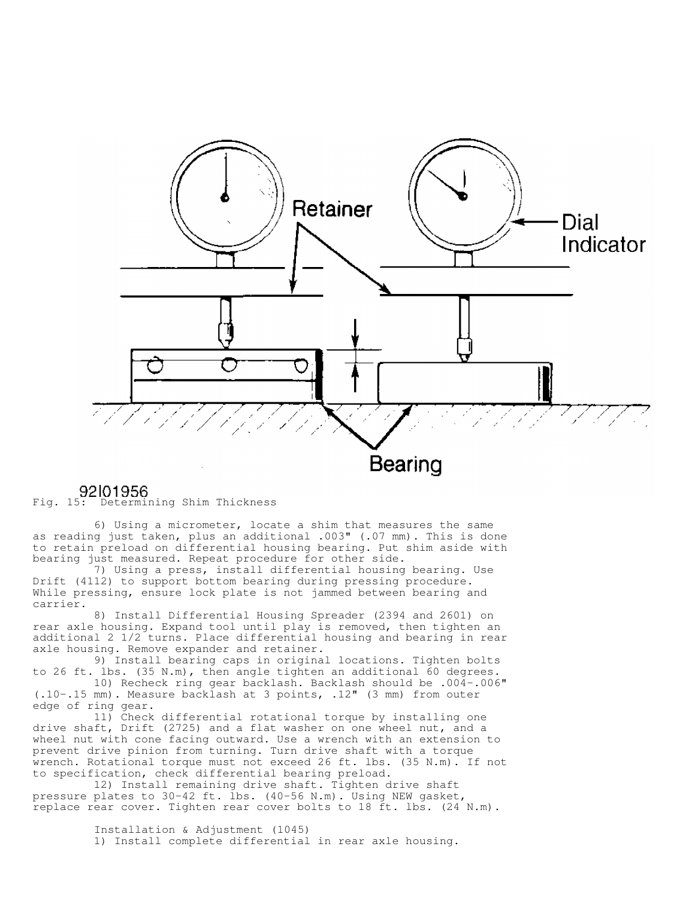

92101956<br>Fig. 15: Determining Shim Thickness

 6) Using a micrometer, locate a shim that measures the same as reading just taken, plus an additional .003" (.07 mm). This is done to retain preload on differential housing bearing. Put shim aside with bearing just measured. Repeat procedure for other side.

 7) Using a press, install differential housing bearing. Use Drift (4112) to support bottom bearing during pressing procedure. While pressing, ensure lock plate is not jammed between bearing and carrier.

 8) Install Differential Housing Spreader (2394 and 2601) on rear axle housing. Expand tool until play is removed, then tighten an additional 2 1/2 turns. Place differential housing and bearing in rear axle housing. Remove expander and retainer.

 9) Install bearing caps in original locations. Tighten bolts to 26 ft. lbs. (35 N.m), then angle tighten an additional 60 degrees.

 10) Recheck ring gear backlash. Backlash should be .004-.006" (.10-.15 mm). Measure backlash at 3 points, .12" (3 mm) from outer edge of ring gear.

 11) Check differential rotational torque by installing one drive shaft, Drift (2725) and a flat washer on one wheel nut, and a wheel nut with cone facing outward. Use a wrench with an extension to prevent drive pinion from turning. Turn drive shaft with a torque wrench. Rotational torque must not exceed 26 ft. lbs. (35 N.m). If not to specification, check differential bearing preload.

 12) Install remaining drive shaft. Tighten drive shaft pressure plates to 30-42 ft. lbs. (40-56 N.m). Using NEW gasket, replace rear cover. Tighten rear cover bolts to 18 ft. lbs. (24 N.m).

> Installation & Adjustment (1045) 1) Install complete differential in rear axle housing.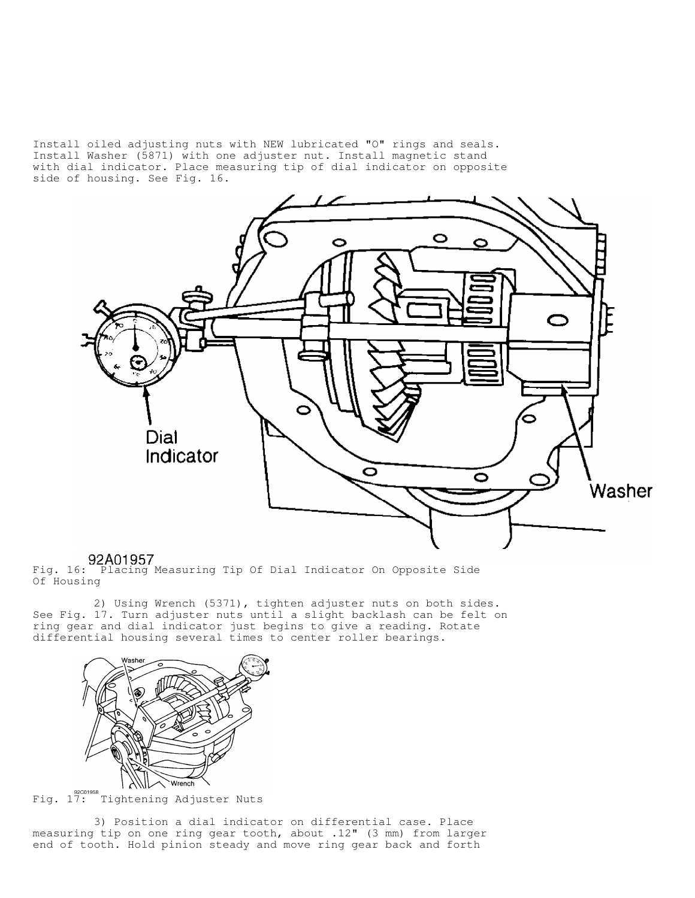Install oiled adjusting nuts with NEW lubricated "O" rings and seals. Install Washer (5871) with one adjuster nut. Install magnetic stand with dial indicator. Place measuring tip of dial indicator on opposite side of housing. See Fig. 16.



**92A01957**<br>Fig. 16: Placing Measuring Tip Of Dial Indicator On Opposite Side Of Housing

 2) Using Wrench (5371), tighten adjuster nuts on both sides. See Fig. 17. Turn adjuster nuts until a slight backlash can be felt on ring gear and dial indicator just begins to give a reading. Rotate differential housing several times to center roller bearings.



Eig. 17: Tightening Adjuster Nuts

 3) Position a dial indicator on differential case. Place measuring tip on one ring gear tooth, about .12" (3 mm) from larger end of tooth. Hold pinion steady and move ring gear back and forth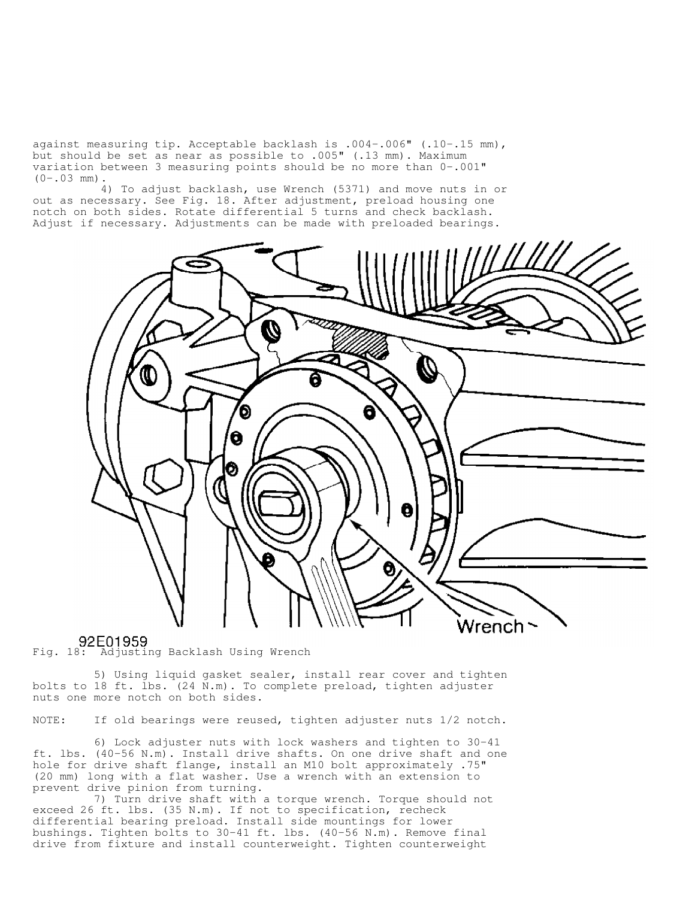against measuring tip. Acceptable backlash is .004-.006" (.10-.15 mm), but should be set as near as possible to .005" (.13 mm). Maximum variation between 3 measuring points should be no more than 0-.001"  $(0-.03$  mm).

 4) To adjust backlash, use Wrench (5371) and move nuts in or out as necessary. See Fig. 18. After adjustment, preload housing one notch on both sides. Rotate differential 5 turns and check backlash. Adjust if necessary. Adjustments can be made with preloaded bearings.



92E01959<br>Fig. 18: Adjusting Backlash Using Wrench

 5) Using liquid gasket sealer, install rear cover and tighten bolts to 18 ft. lbs. (24 N.m). To complete preload, tighten adjuster nuts one more notch on both sides.

NOTE: If old bearings were reused, tighten adjuster nuts 1/2 notch.

 6) Lock adjuster nuts with lock washers and tighten to 30-41 ft. lbs. (40-56 N.m). Install drive shafts. On one drive shaft and one hole for drive shaft flange, install an M10 bolt approximately .75" (20 mm) long with a flat washer. Use a wrench with an extension to prevent drive pinion from turning.

 7) Turn drive shaft with a torque wrench. Torque should not exceed 26 ft. lbs. (35 N.m). If not to specification, recheck differential bearing preload. Install side mountings for lower bushings. Tighten bolts to 30-41 ft. lbs. (40-56 N.m). Remove final drive from fixture and install counterweight. Tighten counterweight